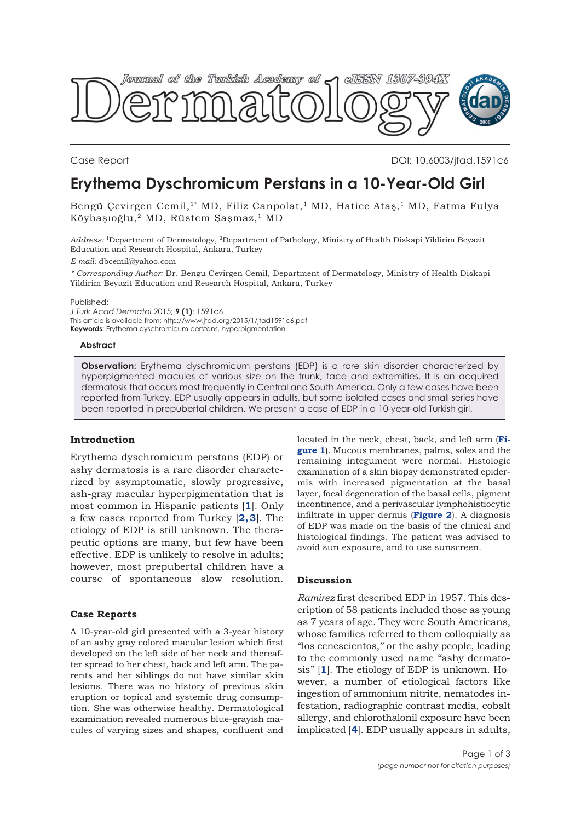

Case Report DOI: 10.6003/jtad.1591c6

# **Erythema Dyschromicum Perstans in a 10-Year-Old Girl**

Bengü Çevirgen Cemil,<sup>1\*</sup> MD, Filiz Canpolat,<sup>1</sup> MD, Hatice Ataş,<sup>1</sup> MD, Fatma Fulya Köybaşıoğlu,2 MD, Rüstem Şaşmaz,1 MD

*Address:* 1Department of Dermatology, 2Department of Pathology, Ministry of Health Diskapi Yildirim Beyazit Education and Research Hospital, Ankara, Turkey

*E-mail:* dbcemil@yahoo.com

*\* Corresponding Author:* Dr. Bengu Cevirgen Cemil, Department of Dermatology, Ministry of Health Diskapi Yildirim Beyazit Education and Research Hospital, Ankara, Turkey

Published:

*J Turk Acad Dermatol* 2015; **9 (1)**: 1591c6 This article is available from: http://www.jtad.org/2015/1/jtad1591c6.pdf **Keywords:** Erythema dyschromicum perstans, hyperpigmentation

# **Abstract**

**Observation:** Erythema dyschromicum perstans (EDP) is a rare skin disorder characterized by hyperpigmented macules of various size on the trunk, face and extremities. It is an acquired dermatosis that occurs most frequently in Central and South America. Only a few cases have been reported from Turkey. EDP usually appears in adults, but some isolated cases and small series have been reported in prepubertal children. We present a case of EDP in a 10-year-old Turkish girl.

# **Introduction**

Erythema dyschromicum perstans (EDP) or ashy dermatosis is a rare disorder characterized by asymptomatic, slowly progressive, ash-gray macular hyperpigmentation that is most common in Hispanic patients [**[1](#page-1-0)**]. Only a few cases reported from Turkey [**[2](#page-1-0), [3](#page-1-0)**]. The etiology of EDP is still unknown. The therapeutic options are many, but few have been effective. EDP is unlikely to resolve in adults; however, most prepubertal children have a course of spontaneous slow resolution.

# **Case Reports**

A 10-year-old girl presented with a 3-year history of an ashy gray colored macular lesion which first developed on the left side of her neck and thereafter spread to her chest, back and left arm. The parents and her siblings do not have similar skin lesions. There was no history of previous skin eruption or topical and systemic drug consumption. She was otherwise healthy. Dermatological examination revealed numerous blue-grayish macules of varying sizes and shapes, confluent and [located in the neck, chest, back, and left arm \(](#page-1-0)**Figure 1**). Mucous membranes, palms, soles and the remaining integument were normal. Histologic examination of a skin biopsy demonstrated epidermis with increased pigmentation at the basal layer, focal degeneration of the basal cells, pigment incontinence, and a perivascular lymphohistiocytic infiltrate in upper dermis (**[Figure 2](#page-1-0)**). A diagnosis of EDP was made on the basis of the clinical and histological findings. The patient was advised to avoid sun exposure, and to use sunscreen.

# **Discussion**

*Ramirez* first described EDP in 1957. This description of 58 patients included those as young as 7 years of age. They were South Americans, whose families referred to them colloquially as ''los cenescientos,'' or the ashy people, leading to the commonly used name ''ashy dermatosis'' [**[1](#page-1-0)**]. The etiology of EDP is unknown. However, a number of etiological factors like ingestion of ammonium nitrite, nematodes infestation, radiographic contrast media, cobalt allergy, and chlorothalonil exposure have been implicated [**[4](#page-1-0)**]. EDP usually appears in adults,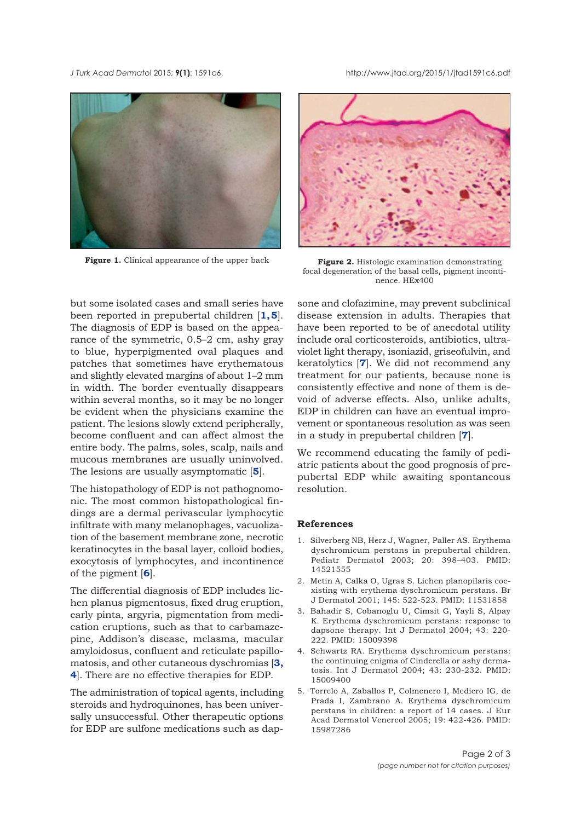<span id="page-1-0"></span>*J Turk Acad Dermato*l 2015; **9(1)**: 1591c6. http://www.jtad.org/2015/1/jtad1591c6.pdf



Figure 1. Clinical appearance of the upper back



**Figure 2.** Histologic examination demonstrating focal degeneration of the basal cells, pigment incontinence. HEx400

but some isolated cases and small series have been reported in prepubertal children [**1, 5**]. The diagnosis of EDP is based on the appearance of the symmetric, 0.5–2 cm, ashy gray to blue, hyperpigmented oval plaques and patches that sometimes have erythematous and slightly elevated margins of about 1–2 mm in width. The border eventually disappears within several months, so it may be no longer be evident when the physicians examine the patient. The lesions slowly extend peripherally, become confluent and can affect almost the entire body. The palms, soles, scalp, nails and mucous membranes are usually uninvolved. The lesions are usually asymptomatic [**5**].

The histopathology of EDP is not pathognomonic. The most common histopathological findings are a dermal perivascular lymphocytic infiltrate with many melanophages, vacuolization of the basement membrane zone, necrotic keratinocytes in the basal layer, colloid bodies, exocytosis of lymphocytes, and incontinence of the pigment [**6**].

The differential diagnosis of EDP includes lichen planus pigmentosus, fixed drug eruption, early pinta, argyria, pigmentation from medication eruptions, such as that to carbamazepine, Addison's disease, melasma, macular amyloidosus, confluent and reticulate papillomatosis, and other cutaneous dyschromias [**3, 4**]. There are no effective therapies for EDP.

The administration of topical agents, including steroids and hydroquinones, has been universally unsuccessful. Other therapeutic options for EDP are sulfone medications such as dap-

sone and clofazimine, may prevent subclinical disease extension in adults. Therapies that have been reported to be of anecdotal utility include oral corticosteroids, antibiotics, ultraviolet light therapy, isoniazid, griseofulvin, and keratolytics [**7**]. We did not recommend any treatment for our patients, because none is consistently effective and none of them is devoid of adverse effects. Also, unlike adults, EDP in children can have an eventual improvement or spontaneous resolution as was seen in a study in prepubertal children [**[7](#page-2-0)**].

We recommend educating the family of pediatric patients about the good prognosis of prepubertal EDP while awaiting spontaneous resolution.

### **References**

- 1. Silverberg NB, Herz J, Wagner, Paller AS. Erythema dyschromicum perstans in prepubertal children. Pediatr Dermatol 2003; 20: 398–403. PMID: 14521555
- 2. Metin A, Calka O, Ugras S. Lichen planopilaris coexisting with erythema dyschromicum perstans. Br J Dermatol 2001; 145: 522-523. PMID: 11531858
- 3. Bahadir S, Cobanoglu U, Cimsit G, Yayli S, Alpay K. Erythema dyschromicum perstans: response to dapsone therapy. Int J Dermatol 2004; 43: 220- 222. PMID: 15009398
- 4. Schwartz RA. Erythema dyschromicum perstans: the continuing enigma of Cinderella or ashy dermatosis. Int J Dermatol 2004; 43: 230-232. PMID: 15009400
- 5. Torrelo A, Zaballos P, Colmenero I, Mediero IG, de Prada I, Zambrano A. Erythema dyschromicum perstans in children: a report of 14 cases. J Eur Acad Dermatol Venereol 2005; 19: 422-426. PMID: 15987286